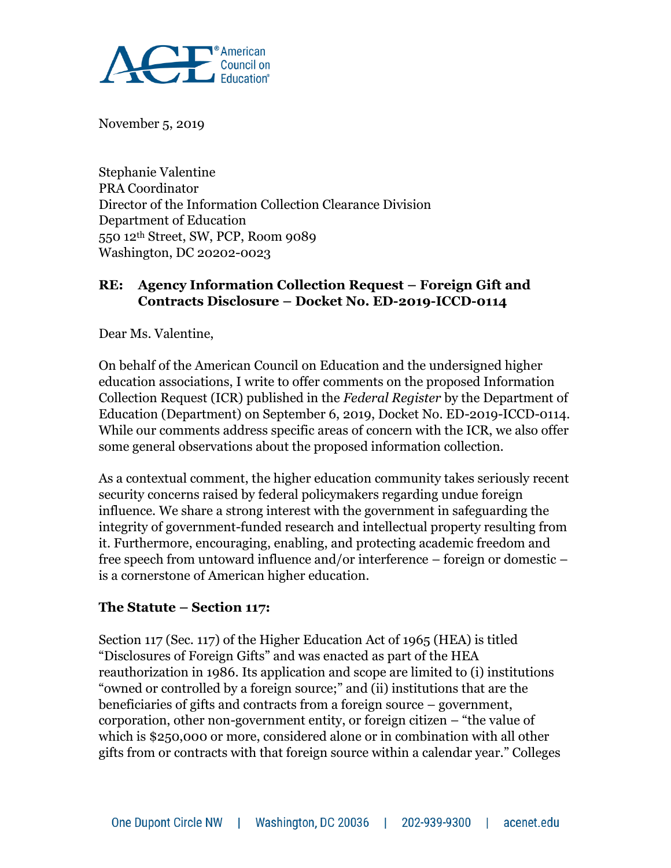

November 5, 2019

Stephanie Valentine PRA Coordinator Director of the Information Collection Clearance Division Department of Education 550 12th Street, SW, PCP, Room 9089 Washington, DC 20202-0023

#### **RE:** Agency Information Collection Request – Foreign Gift and **Contracts Disclosure – Docket No. ED-2019-ICCD-0114**

Dear Ms. Valentine,

On behalf of the American Council on Education and the undersigned higher education associations, I write to offer comments on the proposed Information Collection Request (ICR) published in the *Federal Register* by the Department of Education (Department) on September 6, 2019, Docket No. ED-2019-ICCD-0114. While our comments address specific areas of concern with the ICR, we also offer some general observations about the proposed information collection.

As a contextual comment, the higher education community takes seriously recent security concerns raised by federal policymakers regarding undue foreign influence. We share a strong interest with the government in safeguarding the integrity of government-funded research and intellectual property resulting from it. Furthermore, encouraging, enabling, and protecting academic freedom and free speech from untoward influence and/or interference – foreign or domestic – is a cornerstone of American higher education.

#### **The Statute – Section 117:**

Section 117 (Sec. 117) of the Higher Education Act of 1965 (HEA) is titled "Disclosures of Foreign Gifts" and was enacted as part of the HEA reauthorization in 1986. Its application and scope are limited to (i) institutions "owned or controlled by a foreign source;" and (ii) institutions that are the beneficiaries of gifts and contracts from a foreign source – government, corporation, other non-government entity, or foreign citizen – "the value of which is \$250,000 or more, considered alone or in combination with all other gifts from or contracts with that foreign source within a calendar year." Colleges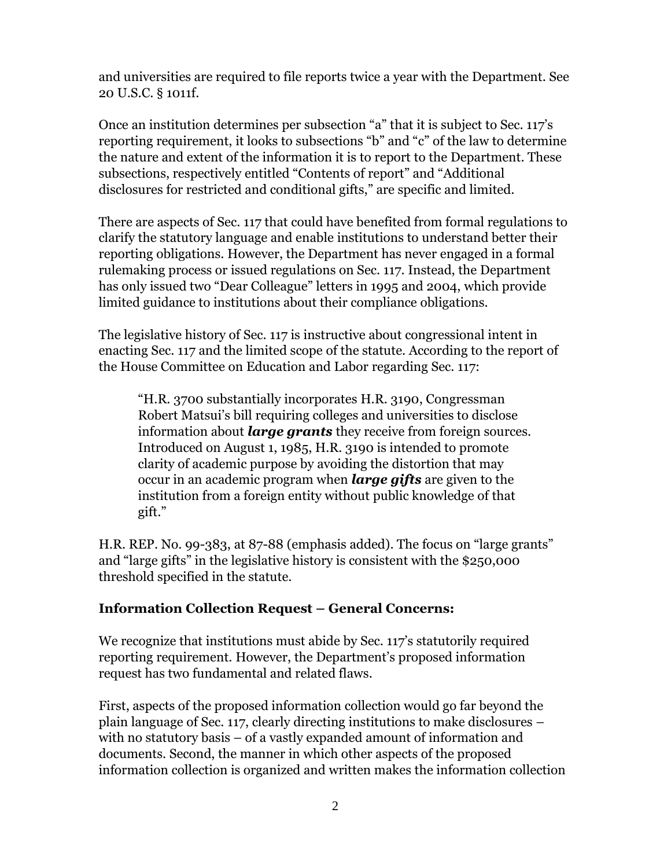and universities are required to file reports twice a year with the Department. See 20 U.S.C. § 1011f.

Once an institution determines per subsection "a" that it is subject to Sec. 117's reporting requirement, it looks to subsections "b" and "c" of the law to determine the nature and extent of the information it is to report to the Department. These subsections, respectively entitled "Contents of report" and "Additional disclosures for restricted and conditional gifts," are specific and limited.

There are aspects of Sec. 117 that could have benefited from formal regulations to clarify the statutory language and enable institutions to understand better their reporting obligations. However, the Department has never engaged in a formal rulemaking process or issued regulations on Sec. 117. Instead, the Department has only issued two "Dear Colleague" letters in 1995 and 2004, which provide limited guidance to institutions about their compliance obligations.

The legislative history of Sec. 117 is instructive about congressional intent in enacting Sec. 117 and the limited scope of the statute. According to the report of the House Committee on Education and Labor regarding Sec. 117:

"H.R. 3700 substantially incorporates H.R. 3190, Congressman Robert Matsui's bill requiring colleges and universities to disclose information about *large grants* they receive from foreign sources. Introduced on August 1, 1985, H.R. 3190 is intended to promote clarity of academic purpose by avoiding the distortion that may occur in an academic program when *large gifts* are given to the institution from a foreign entity without public knowledge of that gift."

H.R. REP. No. 99-383, at 87-88 (emphasis added). The focus on "large grants" and "large gifts" in the legislative history is consistent with the \$250,000 threshold specified in the statute.

#### **Information Collection Request – General Concerns:**

We recognize that institutions must abide by Sec. 117's statutorily required reporting requirement. However, the Department's proposed information request has two fundamental and related flaws.

First, aspects of the proposed information collection would go far beyond the plain language of Sec. 117, clearly directing institutions to make disclosures – with no statutory basis – of a vastly expanded amount of information and documents. Second, the manner in which other aspects of the proposed information collection is organized and written makes the information collection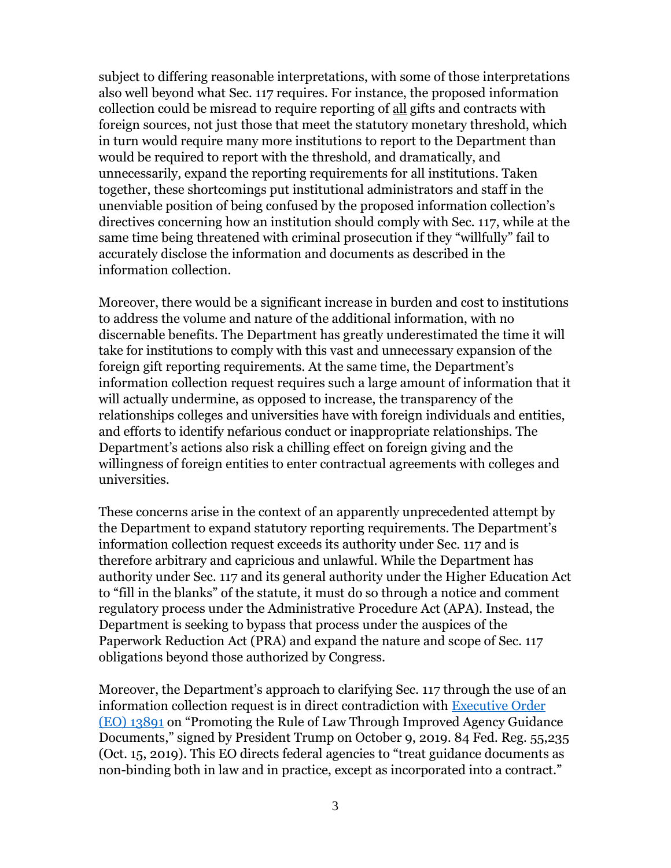subject to differing reasonable interpretations, with some of those interpretations also well beyond what Sec. 117 requires. For instance, the proposed information collection could be misread to require reporting of all gifts and contracts with foreign sources, not just those that meet the statutory monetary threshold, which in turn would require many more institutions to report to the Department than would be required to report with the threshold, and dramatically, and unnecessarily, expand the reporting requirements for all institutions. Taken together, these shortcomings put institutional administrators and staff in the unenviable position of being confused by the proposed information collection's directives concerning how an institution should comply with Sec. 117, while at the same time being threatened with criminal prosecution if they "willfully" fail to accurately disclose the information and documents as described in the information collection.

Moreover, there would be a significant increase in burden and cost to institutions to address the volume and nature of the additional information, with no discernable benefits. The Department has greatly underestimated the time it will take for institutions to comply with this vast and unnecessary expansion of the foreign gift reporting requirements. At the same time, the Department's information collection request requires such a large amount of information that it will actually undermine, as opposed to increase, the transparency of the relationships colleges and universities have with foreign individuals and entities, and efforts to identify nefarious conduct or inappropriate relationships. The Department's actions also risk a chilling effect on foreign giving and the willingness of foreign entities to enter contractual agreements with colleges and universities.

These concerns arise in the context of an apparently unprecedented attempt by the Department to expand statutory reporting requirements. The Department's information collection request exceeds its authority under Sec. 117 and is therefore arbitrary and capricious and unlawful. While the Department has authority under Sec. 117 and its general authority under the Higher Education Act to "fill in the blanks" of the statute, it must do so through a notice and comment regulatory process under the Administrative Procedure Act (APA). Instead, the Department is seeking to bypass that process under the auspices of the Paperwork Reduction Act (PRA) and expand the nature and scope of Sec. 117 obligations beyond those authorized by Congress.

Moreover, the Department's approach to clarifying Sec. 117 through the use of an information collection request is in direct contradiction with [Executive Order](https://www.federalregister.gov/documents/2019/10/15/2019-22623/promoting-the-rule-of-law-through-improved-agency-guidance-documents)  [\(EO\) 13891](https://www.federalregister.gov/documents/2019/10/15/2019-22623/promoting-the-rule-of-law-through-improved-agency-guidance-documents) on "Promoting the Rule of Law Through Improved Agency Guidance Documents," signed by President Trump on October 9, 2019. 84 Fed. Reg. 55,235 (Oct. 15, 2019). This EO directs federal agencies to "treat guidance documents as non-binding both in law and in practice, except as incorporated into a contract."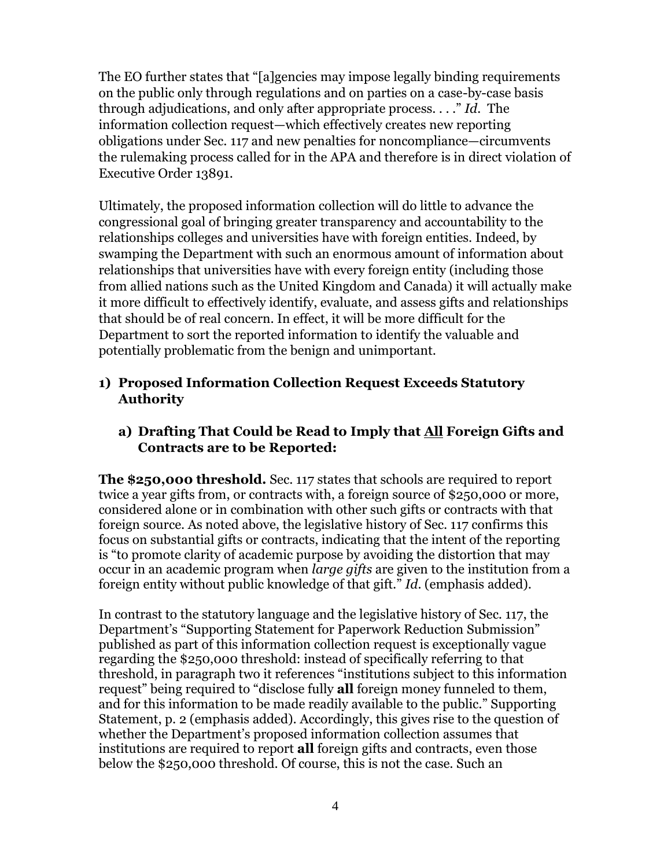The EO further states that "[a]gencies may impose legally binding requirements on the public only through regulations and on parties on a case-by-case basis through adjudications, and only after appropriate process. . . ." *Id.* The information collection request—which effectively creates new reporting obligations under Sec. 117 and new penalties for noncompliance—circumvents the rulemaking process called for in the APA and therefore is in direct violation of Executive Order 13891.

Ultimately, the proposed information collection will do little to advance the congressional goal of bringing greater transparency and accountability to the relationships colleges and universities have with foreign entities. Indeed, by swamping the Department with such an enormous amount of information about relationships that universities have with every foreign entity (including those from allied nations such as the United Kingdom and Canada) it will actually make it more difficult to effectively identify, evaluate, and assess gifts and relationships that should be of real concern. In effect, it will be more difficult for the Department to sort the reported information to identify the valuable and potentially problematic from the benign and unimportant.

### **1) Proposed Information Collection Request Exceeds Statutory Authority**

## **a) Drafting That Could be Read to Imply that All Foreign Gifts and Contracts are to be Reported:**

**The \$250,000 threshold.** Sec. 117 states that schools are required to report twice a year gifts from, or contracts with, a foreign source of \$250,000 or more, considered alone or in combination with other such gifts or contracts with that foreign source. As noted above, the legislative history of Sec. 117 confirms this focus on substantial gifts or contracts, indicating that the intent of the reporting is "to promote clarity of academic purpose by avoiding the distortion that may occur in an academic program when *large gifts* are given to the institution from a foreign entity without public knowledge of that gift." *Id.* (emphasis added).

In contrast to the statutory language and the legislative history of Sec. 117, the Department's "Supporting Statement for Paperwork Reduction Submission" published as part of this information collection request is exceptionally vague regarding the \$250,000 threshold: instead of specifically referring to that threshold, in paragraph two it references "institutions subject to this information request" being required to "disclose fully **all** foreign money funneled to them, and for this information to be made readily available to the public." Supporting Statement, p. 2 (emphasis added). Accordingly, this gives rise to the question of whether the Department's proposed information collection assumes that institutions are required to report **all** foreign gifts and contracts, even those below the \$250,000 threshold. Of course, this is not the case. Such an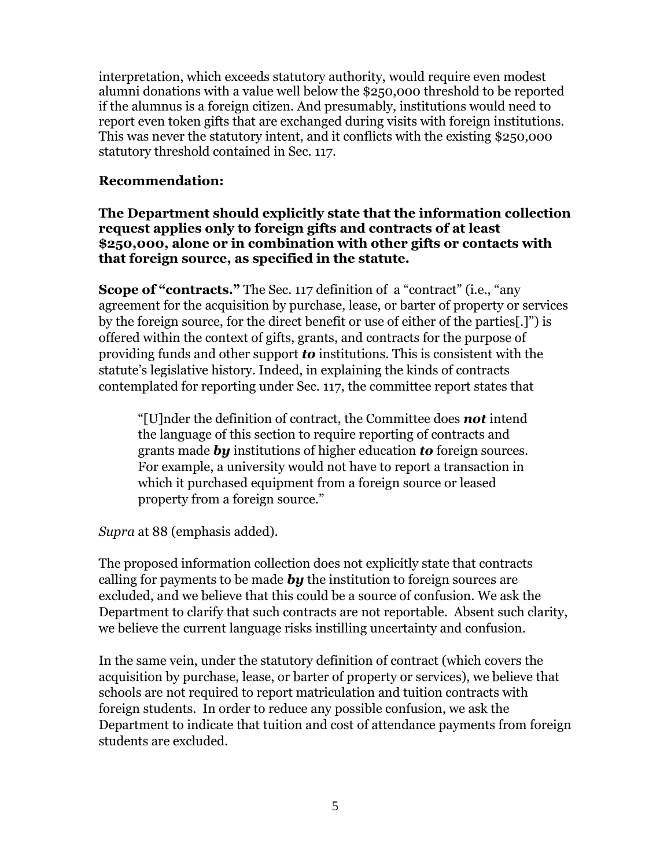interpretation, which exceeds statutory authority, would require even modest alumni donations with a value well below the \$250,000 threshold to be reported if the alumnus is a foreign citizen. And presumably, institutions would need to report even token gifts that are exchanged during visits with foreign institutions. This was never the statutory intent, and it conflicts with the existing \$250,000 statutory threshold contained in Sec. 117.

#### **Recommendation:**

#### **The Department should explicitly state that the information collection request applies only to foreign gifts and contracts of at least \$250,000, alone or in combination with other gifts or contacts with that foreign source, as specified in the statute.**

**Scope of "contracts."** The Sec. 117 definition of a "contract" (i.e., "any agreement for the acquisition by purchase, lease, or barter of property or services by the foreign source, for the direct benefit or use of either of the parties[.]") is offered within the context of gifts, grants, and contracts for the purpose of providing funds and other support *to* institutions. This is consistent with the statute's legislative history. Indeed, in explaining the kinds of contracts contemplated for reporting under Sec. 117, the committee report states that

"[U]nder the definition of contract, the Committee does *not* intend the language of this section to require reporting of contracts and grants made *by* institutions of higher education *to* foreign sources. For example, a university would not have to report a transaction in which it purchased equipment from a foreign source or leased property from a foreign source."

*Supra* at 88 (emphasis added).

The proposed information collection does not explicitly state that contracts calling for payments to be made *by* the institution to foreign sources are excluded, and we believe that this could be a source of confusion. We ask the Department to clarify that such contracts are not reportable. Absent such clarity, we believe the current language risks instilling uncertainty and confusion.

In the same vein, under the statutory definition of contract (which covers the acquisition by purchase, lease, or barter of property or services), we believe that schools are not required to report matriculation and tuition contracts with foreign students. In order to reduce any possible confusion, we ask the Department to indicate that tuition and cost of attendance payments from foreign students are excluded.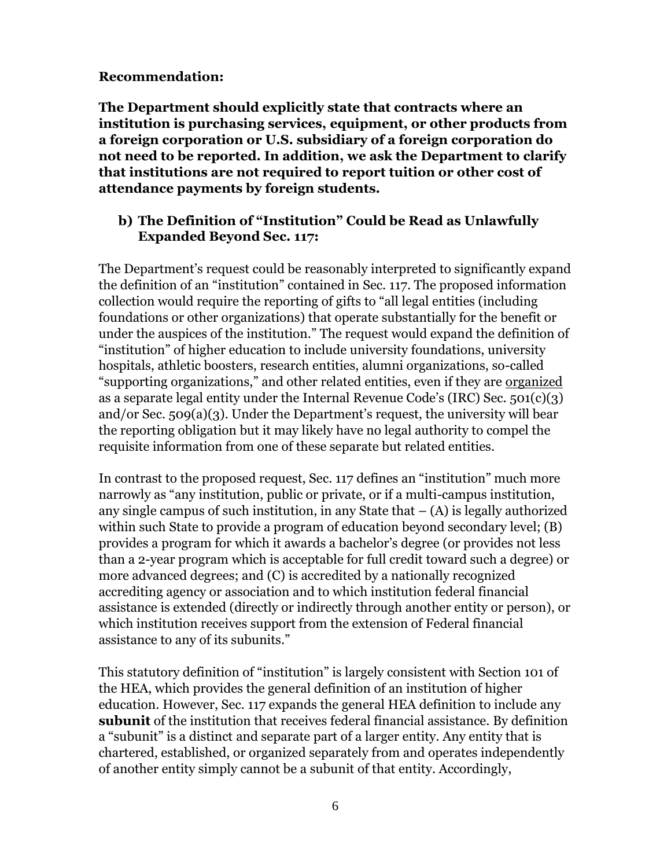#### **Recommendation:**

**The Department should explicitly state that contracts where an institution is purchasing services, equipment, or other products from a foreign corporation or U.S. subsidiary of a foreign corporation do not need to be reported. In addition, we ask the Department to clarify that institutions are not required to report tuition or other cost of attendance payments by foreign students.** 

### **b) The Definition of "Institution" Could be Read as Unlawfully Expanded Beyond Sec. 117:**

The Department's request could be reasonably interpreted to significantly expand the definition of an "institution" contained in Sec. 117. The proposed information collection would require the reporting of gifts to "all legal entities (including foundations or other organizations) that operate substantially for the benefit or under the auspices of the institution." The request would expand the definition of "institution" of higher education to include university foundations, university hospitals, athletic boosters, research entities, alumni organizations, so-called "supporting organizations," and other related entities, even if they are organized as a separate legal entity under the Internal Revenue Code's (IRC) Sec. 501(c)(3) and/or Sec. 509(a)(3). Under the Department's request, the university will bear the reporting obligation but it may likely have no legal authority to compel the requisite information from one of these separate but related entities.

In contrast to the proposed request, Sec. 117 defines an "institution" much more narrowly as "any institution, public or private, or if a multi-campus institution, any single campus of such institution, in any State that  $-$  (A) is legally authorized within such State to provide a program of education beyond secondary level; (B) provides a program for which it awards a bachelor's degree (or provides not less than a 2-year program which is acceptable for full credit toward such a degree) or more advanced degrees; and (C) is accredited by a nationally recognized accrediting agency or association and to which institution federal financial assistance is extended (directly or indirectly through another entity or person), or which institution receives support from the extension of Federal financial assistance to any of its subunits."

This statutory definition of "institution" is largely consistent with Section 101 of the HEA, which provides the general definition of an institution of higher education. However, Sec. 117 expands the general HEA definition to include any **subunit** of the institution that receives federal financial assistance. By definition a "subunit" is a distinct and separate part of a larger entity. Any entity that is chartered, established, or organized separately from and operates independently of another entity simply cannot be a subunit of that entity. Accordingly,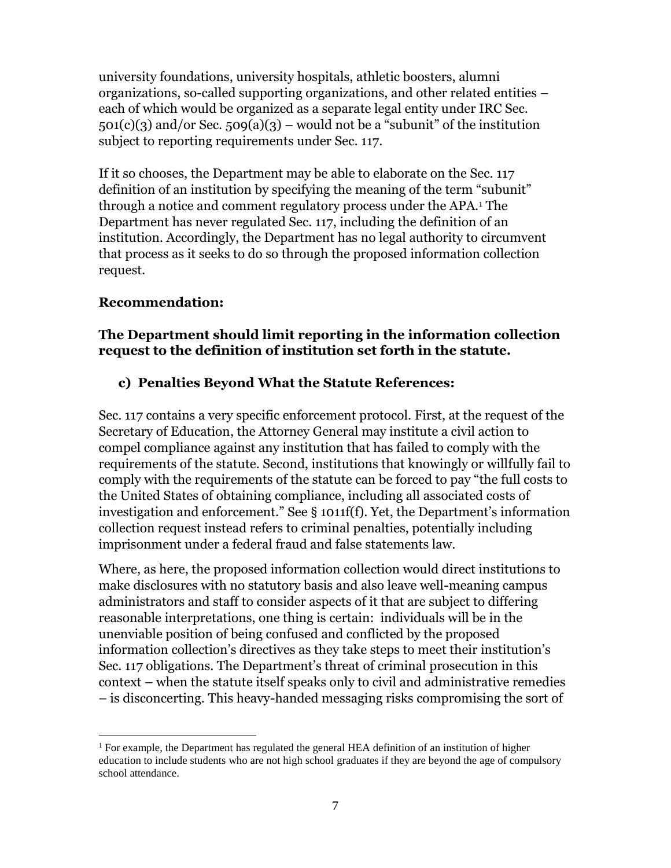university foundations, university hospitals, athletic boosters, alumni organizations, so-called supporting organizations, and other related entities – each of which would be organized as a separate legal entity under IRC Sec.  $501(c)(3)$  and/or Sec.  $509(a)(3)$  – would not be a "subunit" of the institution subject to reporting requirements under Sec. 117.

If it so chooses, the Department may be able to elaborate on the Sec. 117 definition of an institution by specifying the meaning of the term "subunit" through a notice and comment regulatory process under the APA.<sup>1</sup> The Department has never regulated Sec. 117, including the definition of an institution. Accordingly, the Department has no legal authority to circumvent that process as it seeks to do so through the proposed information collection request.

#### **Recommendation:**

#### **The Department should limit reporting in the information collection request to the definition of institution set forth in the statute.**

## **c) Penalties Beyond What the Statute References:**

Sec. 117 contains a very specific enforcement protocol. First, at the request of the Secretary of Education, the Attorney General may institute a civil action to compel compliance against any institution that has failed to comply with the requirements of the statute. Second, institutions that knowingly or willfully fail to comply with the requirements of the statute can be forced to pay "the full costs to the United States of obtaining compliance, including all associated costs of investigation and enforcement." See § 1011f(f). Yet, the Department's information collection request instead refers to criminal penalties, potentially including imprisonment under a federal fraud and false statements law.

Where, as here, the proposed information collection would direct institutions to make disclosures with no statutory basis and also leave well-meaning campus administrators and staff to consider aspects of it that are subject to differing reasonable interpretations, one thing is certain: individuals will be in the unenviable position of being confused and conflicted by the proposed information collection's directives as they take steps to meet their institution's Sec. 117 obligations. The Department's threat of criminal prosecution in this context – when the statute itself speaks only to civil and administrative remedies – is disconcerting. This heavy-handed messaging risks compromising the sort of

 $\overline{a}$ <sup>1</sup> For example, the Department has regulated the general HEA definition of an institution of higher education to include students who are not high school graduates if they are beyond the age of compulsory school attendance.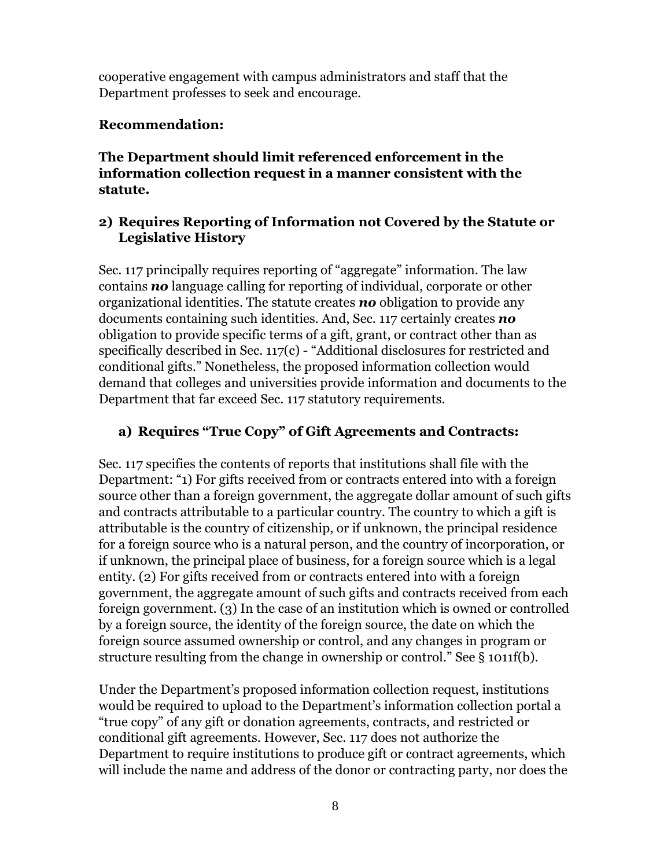cooperative engagement with campus administrators and staff that the Department professes to seek and encourage.

# **Recommendation:**

**The Department should limit referenced enforcement in the information collection request in a manner consistent with the statute.** 

## **2) Requires Reporting of Information not Covered by the Statute or Legislative History**

Sec. 117 principally requires reporting of "aggregate" information. The law contains *no* language calling for reporting of individual, corporate or other organizational identities. The statute creates *no* obligation to provide any documents containing such identities. And, Sec. 117 certainly creates *no* obligation to provide specific terms of a gift, grant, or contract other than as specifically described in Sec. 117(c) - "Additional disclosures for restricted and conditional gifts." Nonetheless, the proposed information collection would demand that colleges and universities provide information and documents to the Department that far exceed Sec. 117 statutory requirements.

# **a) Requires "True Copy" of Gift Agreements and Contracts:**

Sec. 117 specifies the contents of reports that institutions shall file with the Department: "1) For gifts received from or contracts entered into with a foreign source other than a foreign government, the aggregate dollar amount of such gifts and contracts attributable to a particular country. The country to which a gift is attributable is the country of citizenship, or if unknown, the principal residence for a foreign source who is a natural person, and the country of incorporation, or if unknown, the principal place of business, for a foreign source which is a legal entity. (2) For gifts received from or contracts entered into with a foreign government, the aggregate amount of such gifts and contracts received from each foreign government. (3) In the case of an institution which is owned or controlled by a foreign source, the identity of the foreign source, the date on which the foreign source assumed ownership or control, and any changes in program or structure resulting from the change in ownership or control." See § 1011f(b).

Under the Department's proposed information collection request, institutions would be required to upload to the Department's information collection portal a "true copy" of any gift or donation agreements, contracts, and restricted or conditional gift agreements. However, Sec. 117 does not authorize the Department to require institutions to produce gift or contract agreements, which will include the name and address of the donor or contracting party, nor does the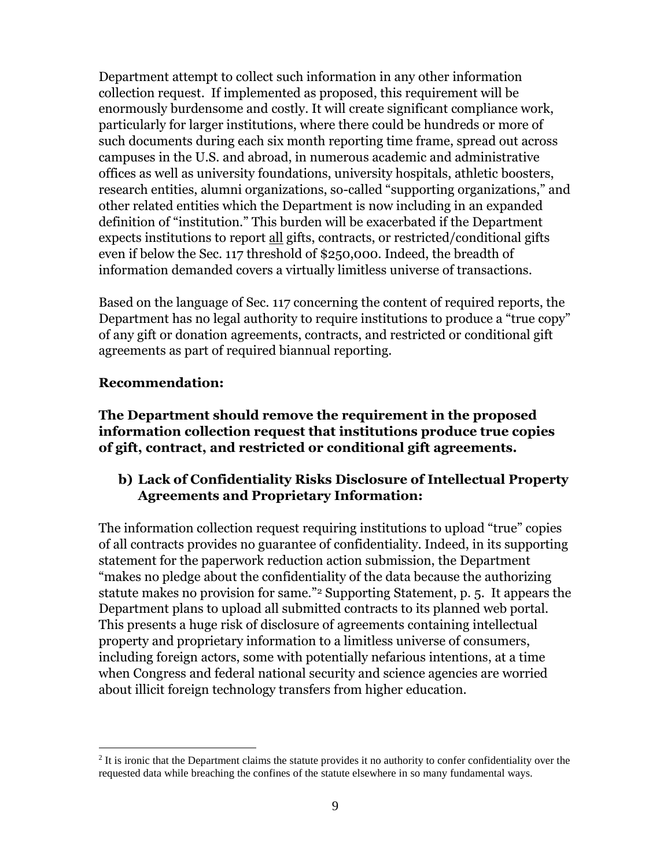Department attempt to collect such information in any other information collection request. If implemented as proposed, this requirement will be enormously burdensome and costly. It will create significant compliance work, particularly for larger institutions, where there could be hundreds or more of such documents during each six month reporting time frame, spread out across campuses in the U.S. and abroad, in numerous academic and administrative offices as well as university foundations, university hospitals, athletic boosters, research entities, alumni organizations, so-called "supporting organizations," and other related entities which the Department is now including in an expanded definition of "institution." This burden will be exacerbated if the Department expects institutions to report all gifts, contracts, or restricted/conditional gifts even if below the Sec. 117 threshold of \$250,000. Indeed, the breadth of information demanded covers a virtually limitless universe of transactions.

Based on the language of Sec. 117 concerning the content of required reports, the Department has no legal authority to require institutions to produce a "true copy" of any gift or donation agreements, contracts, and restricted or conditional gift agreements as part of required biannual reporting.

#### **Recommendation:**

 $\overline{a}$ 

**The Department should remove the requirement in the proposed information collection request that institutions produce true copies of gift, contract, and restricted or conditional gift agreements.**

## **b) Lack of Confidentiality Risks Disclosure of Intellectual Property Agreements and Proprietary Information:**

The information collection request requiring institutions to upload "true" copies of all contracts provides no guarantee of confidentiality. Indeed, in its supporting statement for the paperwork reduction action submission, the Department "makes no pledge about the confidentiality of the data because the authorizing statute makes no provision for same."<sup>2</sup> Supporting Statement, p. 5. It appears the Department plans to upload all submitted contracts to its planned web portal. This presents a huge risk of disclosure of agreements containing intellectual property and proprietary information to a limitless universe of consumers, including foreign actors, some with potentially nefarious intentions, at a time when Congress and federal national security and science agencies are worried about illicit foreign technology transfers from higher education.

 $2$  It is ironic that the Department claims the statute provides it no authority to confer confidentiality over the requested data while breaching the confines of the statute elsewhere in so many fundamental ways.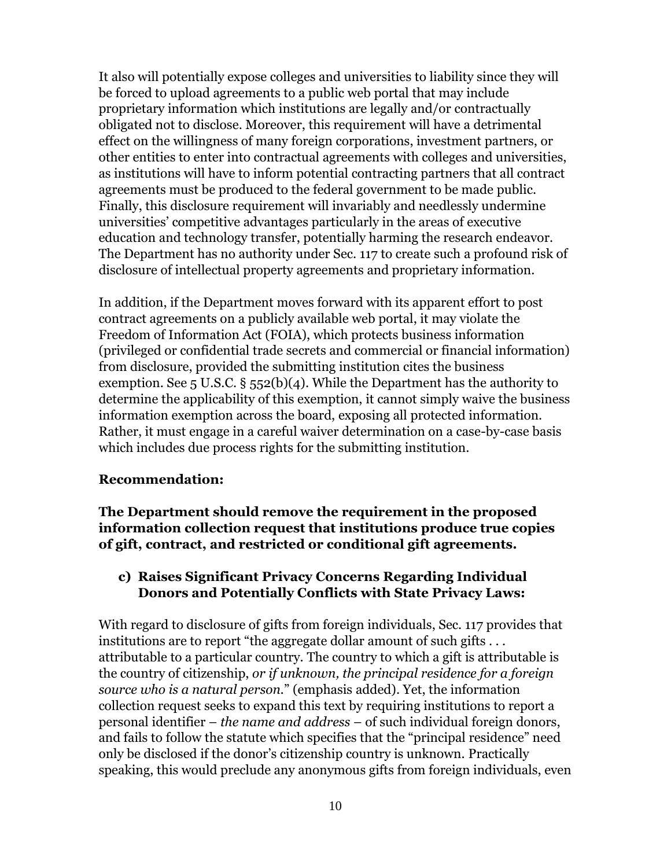It also will potentially expose colleges and universities to liability since they will be forced to upload agreements to a public web portal that may include proprietary information which institutions are legally and/or contractually obligated not to disclose. Moreover, this requirement will have a detrimental effect on the willingness of many foreign corporations, investment partners, or other entities to enter into contractual agreements with colleges and universities, as institutions will have to inform potential contracting partners that all contract agreements must be produced to the federal government to be made public. Finally, this disclosure requirement will invariably and needlessly undermine universities' competitive advantages particularly in the areas of executive education and technology transfer, potentially harming the research endeavor. The Department has no authority under Sec. 117 to create such a profound risk of disclosure of intellectual property agreements and proprietary information.

In addition, if the Department moves forward with its apparent effort to post contract agreements on a publicly available web portal, it may violate the Freedom of Information Act (FOIA), which protects business information (privileged or confidential trade secrets and commercial or financial information) from disclosure, provided the submitting institution cites the business exemption. See 5 U.S.C.  $\S$  552(b)(4). While the Department has the authority to determine the applicability of this exemption, it cannot simply waive the business information exemption across the board, exposing all protected information. Rather, it must engage in a careful waiver determination on a case-by-case basis which includes due process rights for the submitting institution.

#### **Recommendation:**

**The Department should remove the requirement in the proposed information collection request that institutions produce true copies of gift, contract, and restricted or conditional gift agreements.** 

#### **c) Raises Significant Privacy Concerns Regarding Individual Donors and Potentially Conflicts with State Privacy Laws:**

With regard to disclosure of gifts from foreign individuals, Sec. 117 provides that institutions are to report "the aggregate dollar amount of such gifts . . . attributable to a particular country. The country to which a gift is attributable is the country of citizenship, *or if unknown, the principal residence for a foreign source who is a natural person.*" (emphasis added). Yet, the information collection request seeks to expand this text by requiring institutions to report a personal identifier – *the name and address* – of such individual foreign donors, and fails to follow the statute which specifies that the "principal residence" need only be disclosed if the donor's citizenship country is unknown. Practically speaking, this would preclude any anonymous gifts from foreign individuals, even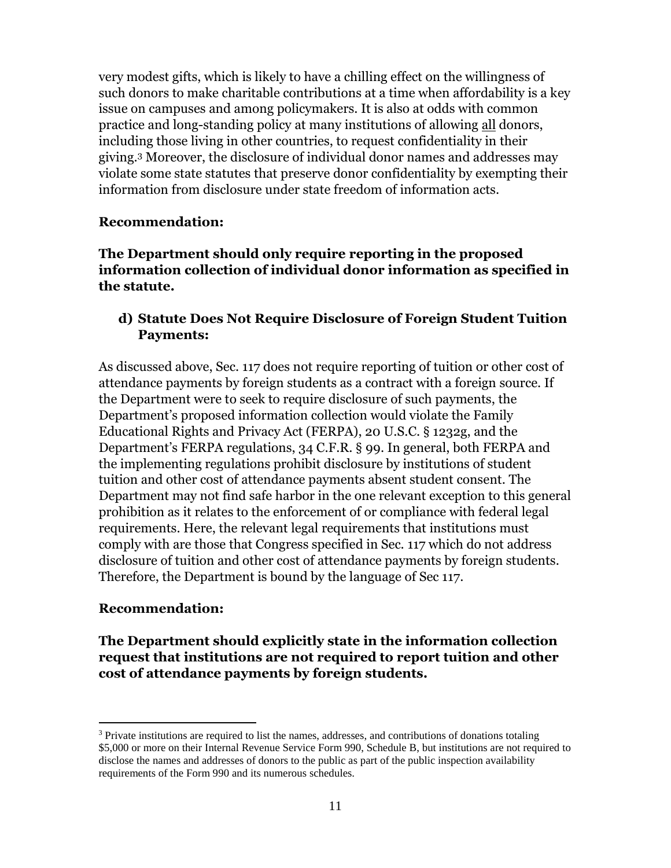very modest gifts, which is likely to have a chilling effect on the willingness of such donors to make charitable contributions at a time when affordability is a key issue on campuses and among policymakers. It is also at odds with common practice and long-standing policy at many institutions of allowing all donors, including those living in other countries, to request confidentiality in their giving.<sup>3</sup> Moreover, the disclosure of individual donor names and addresses may violate some state statutes that preserve donor confidentiality by exempting their information from disclosure under state freedom of information acts.

#### **Recommendation:**

**The Department should only require reporting in the proposed information collection of individual donor information as specified in the statute.** 

#### **d) Statute Does Not Require Disclosure of Foreign Student Tuition Payments:**

As discussed above, Sec. 117 does not require reporting of tuition or other cost of attendance payments by foreign students as a contract with a foreign source. If the Department were to seek to require disclosure of such payments, the Department's proposed information collection would violate the Family Educational Rights and Privacy Act (FERPA), 20 U.S.C. § 1232g, and the Department's FERPA regulations, 34 C.F.R. § 99. In general, both FERPA and the implementing regulations prohibit disclosure by institutions of student tuition and other cost of attendance payments absent student consent. The Department may not find safe harbor in the one relevant exception to this general prohibition as it relates to the enforcement of or compliance with federal legal requirements. Here, the relevant legal requirements that institutions must comply with are those that Congress specified in Sec. 117 which do not address disclosure of tuition and other cost of attendance payments by foreign students. Therefore, the Department is bound by the language of Sec 117.

#### **Recommendation:**

 $\overline{a}$ 

**The Department should explicitly state in the information collection request that institutions are not required to report tuition and other cost of attendance payments by foreign students.**

 $3$  Private institutions are required to list the names, addresses, and contributions of donations totaling \$5,000 or more on their Internal Revenue Service Form 990, Schedule B, but institutions are not required to disclose the names and addresses of donors to the public as part of the public inspection availability requirements of the Form 990 and its numerous schedules.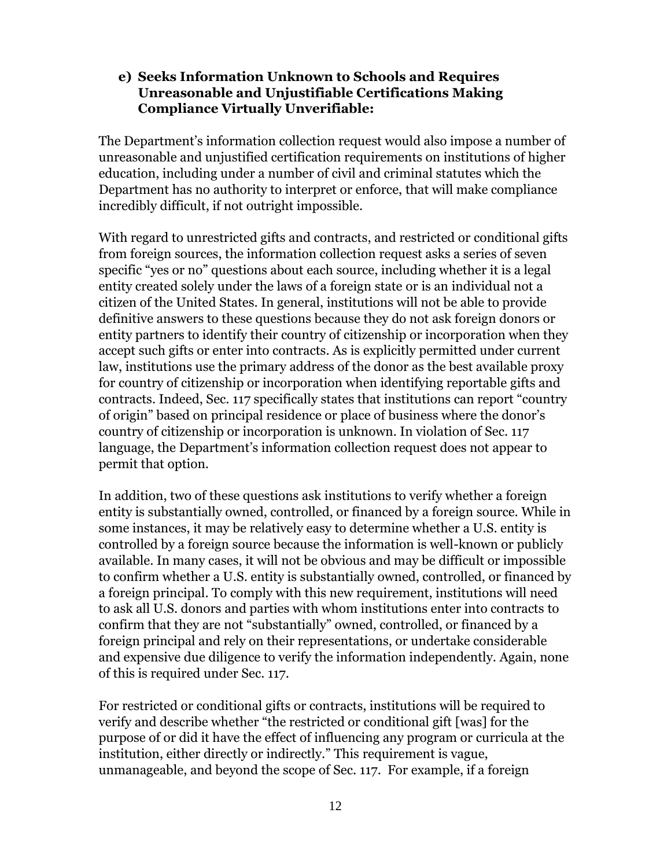#### **e) Seeks Information Unknown to Schools and Requires Unreasonable and Unjustifiable Certifications Making Compliance Virtually Unverifiable:**

The Department's information collection request would also impose a number of unreasonable and unjustified certification requirements on institutions of higher education, including under a number of civil and criminal statutes which the Department has no authority to interpret or enforce, that will make compliance incredibly difficult, if not outright impossible.

With regard to unrestricted gifts and contracts, and restricted or conditional gifts from foreign sources, the information collection request asks a series of seven specific "yes or no" questions about each source, including whether it is a legal entity created solely under the laws of a foreign state or is an individual not a citizen of the United States. In general, institutions will not be able to provide definitive answers to these questions because they do not ask foreign donors or entity partners to identify their country of citizenship or incorporation when they accept such gifts or enter into contracts. As is explicitly permitted under current law, institutions use the primary address of the donor as the best available proxy for country of citizenship or incorporation when identifying reportable gifts and contracts. Indeed, Sec. 117 specifically states that institutions can report "country of origin" based on principal residence or place of business where the donor's country of citizenship or incorporation is unknown. In violation of Sec. 117 language, the Department's information collection request does not appear to permit that option.

In addition, two of these questions ask institutions to verify whether a foreign entity is substantially owned, controlled, or financed by a foreign source. While in some instances, it may be relatively easy to determine whether a U.S. entity is controlled by a foreign source because the information is well-known or publicly available. In many cases, it will not be obvious and may be difficult or impossible to confirm whether a U.S. entity is substantially owned, controlled, or financed by a foreign principal. To comply with this new requirement, institutions will need to ask all U.S. donors and parties with whom institutions enter into contracts to confirm that they are not "substantially" owned, controlled, or financed by a foreign principal and rely on their representations, or undertake considerable and expensive due diligence to verify the information independently. Again, none of this is required under Sec. 117.

For restricted or conditional gifts or contracts, institutions will be required to verify and describe whether "the restricted or conditional gift [was] for the purpose of or did it have the effect of influencing any program or curricula at the institution, either directly or indirectly." This requirement is vague, unmanageable, and beyond the scope of Sec. 117. For example, if a foreign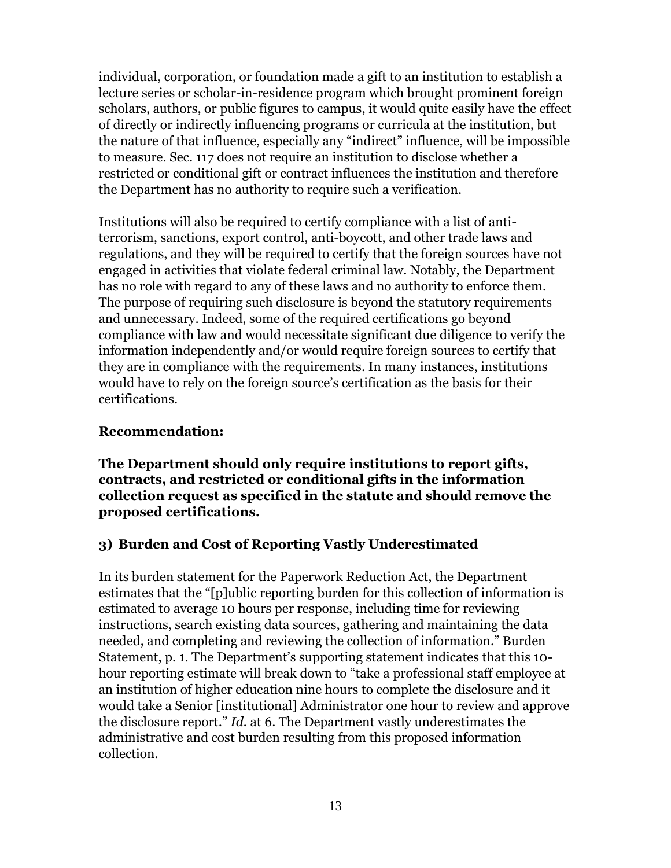individual, corporation, or foundation made a gift to an institution to establish a lecture series or scholar-in-residence program which brought prominent foreign scholars, authors, or public figures to campus, it would quite easily have the effect of directly or indirectly influencing programs or curricula at the institution, but the nature of that influence, especially any "indirect" influence, will be impossible to measure. Sec. 117 does not require an institution to disclose whether a restricted or conditional gift or contract influences the institution and therefore the Department has no authority to require such a verification.

Institutions will also be required to certify compliance with a list of antiterrorism, sanctions, export control, anti-boycott, and other trade laws and regulations, and they will be required to certify that the foreign sources have not engaged in activities that violate federal criminal law. Notably, the Department has no role with regard to any of these laws and no authority to enforce them. The purpose of requiring such disclosure is beyond the statutory requirements and unnecessary. Indeed, some of the required certifications go beyond compliance with law and would necessitate significant due diligence to verify the information independently and/or would require foreign sources to certify that they are in compliance with the requirements. In many instances, institutions would have to rely on the foreign source's certification as the basis for their certifications.

#### **Recommendation:**

**The Department should only require institutions to report gifts, contracts, and restricted or conditional gifts in the information collection request as specified in the statute and should remove the proposed certifications.** 

#### **3) Burden and Cost of Reporting Vastly Underestimated**

In its burden statement for the Paperwork Reduction Act, the Department estimates that the "[p]ublic reporting burden for this collection of information is estimated to average 10 hours per response, including time for reviewing instructions, search existing data sources, gathering and maintaining the data needed, and completing and reviewing the collection of information." Burden Statement, p. 1. The Department's supporting statement indicates that this 10 hour reporting estimate will break down to "take a professional staff employee at an institution of higher education nine hours to complete the disclosure and it would take a Senior [institutional] Administrator one hour to review and approve the disclosure report." *Id.* at 6. The Department vastly underestimates the administrative and cost burden resulting from this proposed information collection.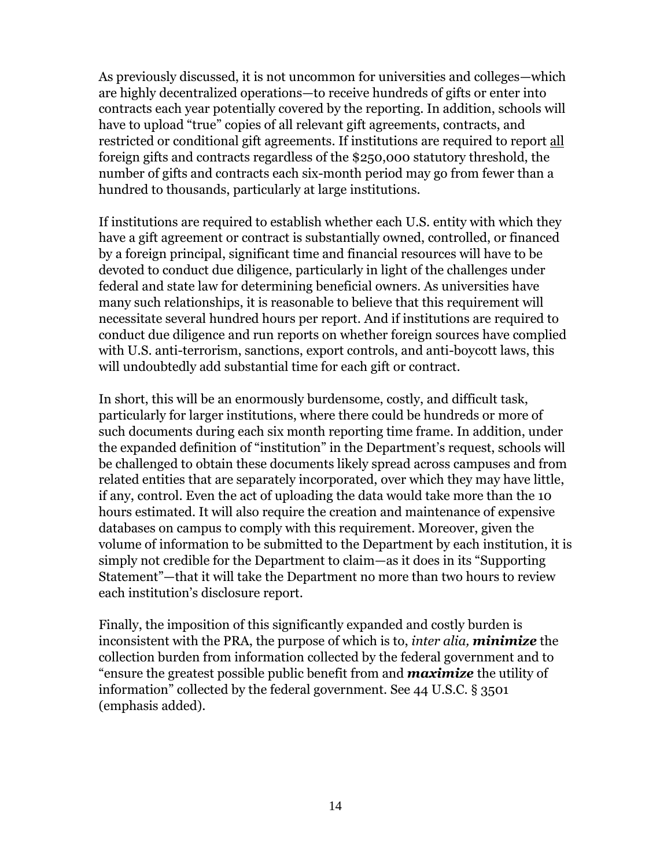As previously discussed, it is not uncommon for universities and colleges—which are highly decentralized operations—to receive hundreds of gifts or enter into contracts each year potentially covered by the reporting. In addition, schools will have to upload "true" copies of all relevant gift agreements, contracts, and restricted or conditional gift agreements. If institutions are required to report all foreign gifts and contracts regardless of the \$250,000 statutory threshold, the number of gifts and contracts each six-month period may go from fewer than a hundred to thousands, particularly at large institutions.

If institutions are required to establish whether each U.S. entity with which they have a gift agreement or contract is substantially owned, controlled, or financed by a foreign principal, significant time and financial resources will have to be devoted to conduct due diligence, particularly in light of the challenges under federal and state law for determining beneficial owners. As universities have many such relationships, it is reasonable to believe that this requirement will necessitate several hundred hours per report. And if institutions are required to conduct due diligence and run reports on whether foreign sources have complied with U.S. anti-terrorism, sanctions, export controls, and anti-boycott laws, this will undoubtedly add substantial time for each gift or contract.

In short, this will be an enormously burdensome, costly, and difficult task, particularly for larger institutions, where there could be hundreds or more of such documents during each six month reporting time frame. In addition, under the expanded definition of "institution" in the Department's request, schools will be challenged to obtain these documents likely spread across campuses and from related entities that are separately incorporated, over which they may have little, if any, control. Even the act of uploading the data would take more than the 10 hours estimated. It will also require the creation and maintenance of expensive databases on campus to comply with this requirement. Moreover, given the volume of information to be submitted to the Department by each institution, it is simply not credible for the Department to claim—as it does in its "Supporting Statement"—that it will take the Department no more than two hours to review each institution's disclosure report.

Finally, the imposition of this significantly expanded and costly burden is inconsistent with the PRA, the purpose of which is to, *inter alia, minimize* the collection burden from information collected by the federal government and to "ensure the greatest possible public benefit from and *maximize* the utility of information" collected by the federal government. See 44 U.S.C. § 3501 (emphasis added).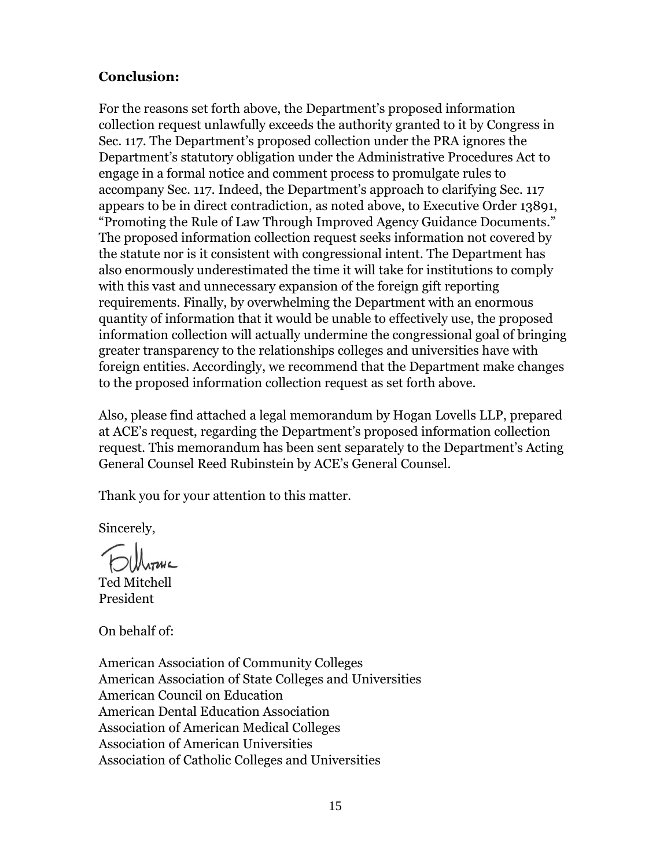#### **Conclusion:**

For the reasons set forth above, the Department's proposed information collection request unlawfully exceeds the authority granted to it by Congress in Sec. 117. The Department's proposed collection under the PRA ignores the Department's statutory obligation under the Administrative Procedures Act to engage in a formal notice and comment process to promulgate rules to accompany Sec. 117. Indeed, the Department's approach to clarifying Sec. 117 appears to be in direct contradiction, as noted above, to Executive Order 13891, "Promoting the Rule of Law Through Improved Agency Guidance Documents." The proposed information collection request seeks information not covered by the statute nor is it consistent with congressional intent. The Department has also enormously underestimated the time it will take for institutions to comply with this vast and unnecessary expansion of the foreign gift reporting requirements. Finally, by overwhelming the Department with an enormous quantity of information that it would be unable to effectively use, the proposed information collection will actually undermine the congressional goal of bringing greater transparency to the relationships colleges and universities have with foreign entities. Accordingly, we recommend that the Department make changes to the proposed information collection request as set forth above.

Also, please find attached a legal memorandum by Hogan Lovells LLP, prepared at ACE's request, regarding the Department's proposed information collection request. This memorandum has been sent separately to the Department's Acting General Counsel Reed Rubinstein by ACE's General Counsel.

Thank you for your attention to this matter.

Sincerely,

Ted Mitchell President

On behalf of:

American Association of Community Colleges American Association of State Colleges and Universities American Council on Education American Dental Education Association Association of American Medical Colleges Association of American Universities Association of Catholic Colleges and Universities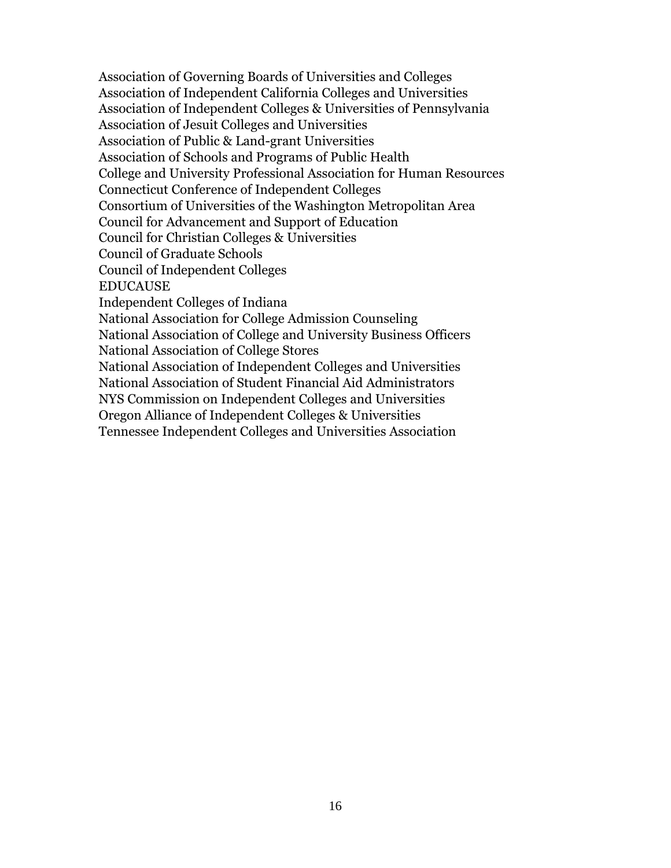Association of Governing Boards of Universities and Colleges Association of Independent California Colleges and Universities Association of Independent Colleges & Universities of Pennsylvania Association of Jesuit Colleges and Universities Association of Public & Land-grant Universities Association of Schools and Programs of Public Health College and University Professional Association for Human Resources Connecticut Conference of Independent Colleges Consortium of Universities of the Washington Metropolitan Area Council for Advancement and Support of Education Council for Christian Colleges & Universities Council of Graduate Schools Council of Independent Colleges EDUCAUSE Independent Colleges of Indiana National Association for College Admission Counseling National Association of College and University Business Officers National Association of College Stores National Association of Independent Colleges and Universities National Association of Student Financial Aid Administrators NYS Commission on Independent Colleges and Universities Oregon Alliance of Independent Colleges & Universities Tennessee Independent Colleges and Universities Association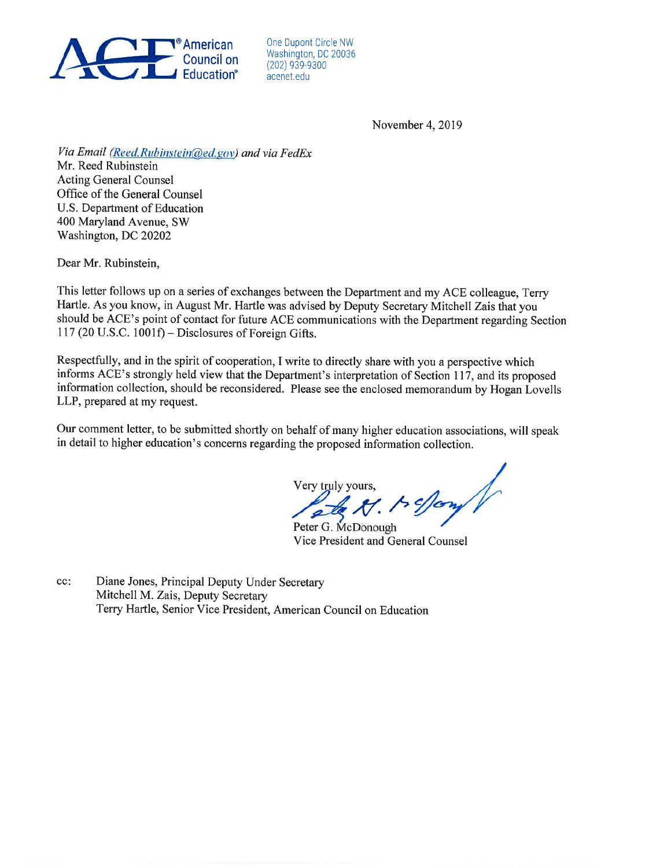

One Dupont Circle NW Washington, DC 20036 (202) 939-9300 acenet.edu

November 4, 2019

Via Email (Reed.Rubinstein@ed.gov) and via FedEx Mr. Reed Rubinstein

**Acting General Counsel** Office of the General Counsel U.S. Department of Education 400 Maryland Avenue, SW Washington, DC 20202

Dear Mr. Rubinstein,

This letter follows up on a series of exchanges between the Department and my ACE colleague, Terry Hartle. As you know, in August Mr. Hartle was advised by Deputy Secretary Mitchell Zais that you should be ACE's point of contact for future ACE communications with the Department regarding Section 117 (20 U.S.C. 1001f) - Disclosures of Foreign Gifts.

Respectfully, and in the spirit of cooperation, I write to directly share with you a perspective which informs ACE's strongly held view that the Department's interpretation of Section 117, and its proposed information collection, should be reconsidered. Please see the enclosed memorandum by Hogan Lovells LLP, prepared at my request.

Our comment letter, to be submitted shortly on behalf of many higher education associations, will speak in detail to higher education's concerns regarding the proposed information collection.

ts effory of Very truly yours.

Peter G. McDonough Vice President and General Counsel

Diane Jones, Principal Deputy Under Secretary  $cc$ : Mitchell M. Zais, Deputy Secretary Terry Hartle, Senior Vice President, American Council on Education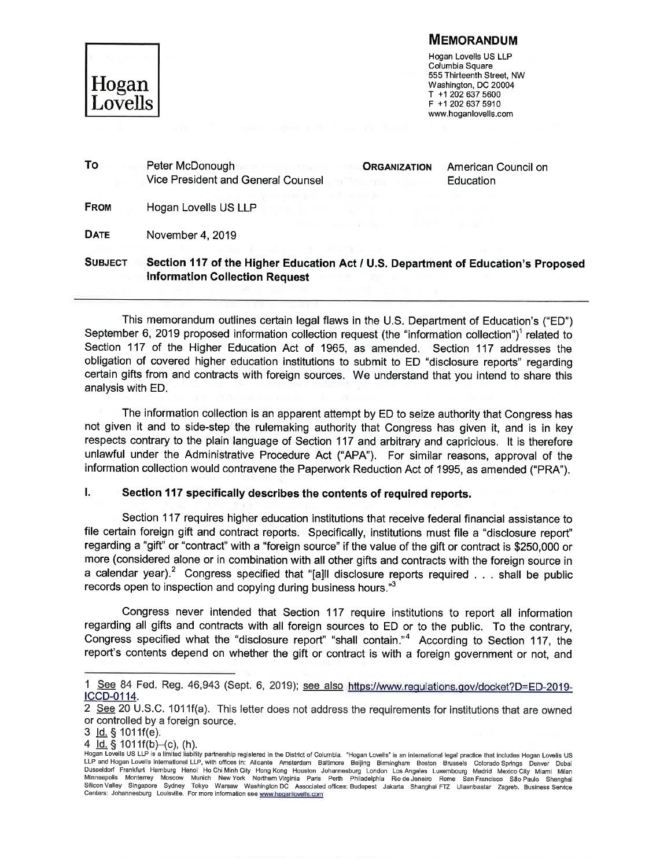#### **MEMORANDUM**



Hogan Lovells US LLP Columbia Square 555 Thirteenth Street, NW Washington, DC 20004  $T + 12026375600$ F +1 202 637 5910 www.hoganlovells.com

| To             | Peter McDonough<br>Vice President and General Counsel                                                                      | <b>ORGANIZATION</b> | American Council on<br>Education |
|----------------|----------------------------------------------------------------------------------------------------------------------------|---------------------|----------------------------------|
| <b>FROM</b>    | Hogan Lovells US LLP                                                                                                       |                     |                                  |
| <b>DATE</b>    | November 4, 2019                                                                                                           |                     |                                  |
| <b>SUBJECT</b> | Section 117 of the Higher Education Act / U.S. Department of Education's Proposed<br><b>Information Collection Request</b> |                     |                                  |

This memorandum outlines certain legal flaws in the U.S. Department of Education's ("ED") September 6, 2019 proposed information collection request (the "information collection")<sup>1</sup> related to Section 117 of the Higher Education Act of 1965, as amended. Section 117 addresses the obligation of covered higher education institutions to submit to ED "disclosure reports" regarding certain gifts from and contracts with foreign sources. We understand that you intend to share this analysis with ED.

The information collection is an apparent attempt by ED to seize authority that Congress has not given it and to side-step the rulemaking authority that Congress has given it, and is in key respects contrary to the plain language of Section 117 and arbitrary and capricious. It is therefore unlawful under the Administrative Procedure Act ("APA"). For similar reasons, approval of the information collection would contravene the Paperwork Reduction Act of 1995, as amended ("PRA").

#### IJ Section 117 specifically describes the contents of required reports.

Section 117 requires higher education institutions that receive federal financial assistance to file certain foreign gift and contract reports. Specifically, institutions must file a "disclosure report" regarding a "gift" or "contract" with a "foreign source" if the value of the gift or contract is \$250,000 or more (considered alone or in combination with all other gifts and contracts with the foreign source in a calendar year).<sup>2</sup> Congress specified that "[a]ll disclosure reports required . . . shall be public records open to inspection and copying during business hours."3

Congress never intended that Section 117 require institutions to report all information regarding all gifts and contracts with all foreign sources to ED or to the public. To the contrary, Congress specified what the "disclosure report" "shall contain."<sup>4</sup> According to Section 117, the report's contents depend on whether the gift or contract is with a foreign government or not, and

<sup>1</sup> See 84 Fed. Reg. 46,943 (Sept. 6, 2019); see also https://www.regulations.gov/docket?D=ED-2019-ICCD-0114.

<sup>2</sup> See 20 U.S.C. 1011f(a). This letter does not address the requirements for institutions that are owned or controlled by a foreign source.

<sup>3</sup> ld. § 1011f(e).

<sup>4</sup>  $\overline{Id.}$  § 1011f(b)–(c), (h).

Hogan Lovells US LLP is a limited liability partnership registered in the District of Columbia. "Hogan Lovells" is an international legal practice that includes Hogan Lovells US LLP and Hogan Lovells International LLP, with offices in: Alicante Amsterdam Baltimore Beijing Birmingham Boston Brussels Colorado Springs Denver Dubai En und Frankfurt Hamburg Hanoi Ho Chi Minh City Hong Kong Houston Johannesburg London Los Angeles Luxembourg Madrid Mexico City Miami Milan<br>Minneapolis Monterrey Moscow Munich New York Northern Virginia Paris Perth Philade Silicon Valley Singapore Sydney Tokyo Warsaw Washington DC Associated offices: Budapest Jakarta Shanghai FTZ Ulaanbaatar Zagreb. Business Service<br>Centers: Johannesburg Louisville. For more information see www.hoganlovells.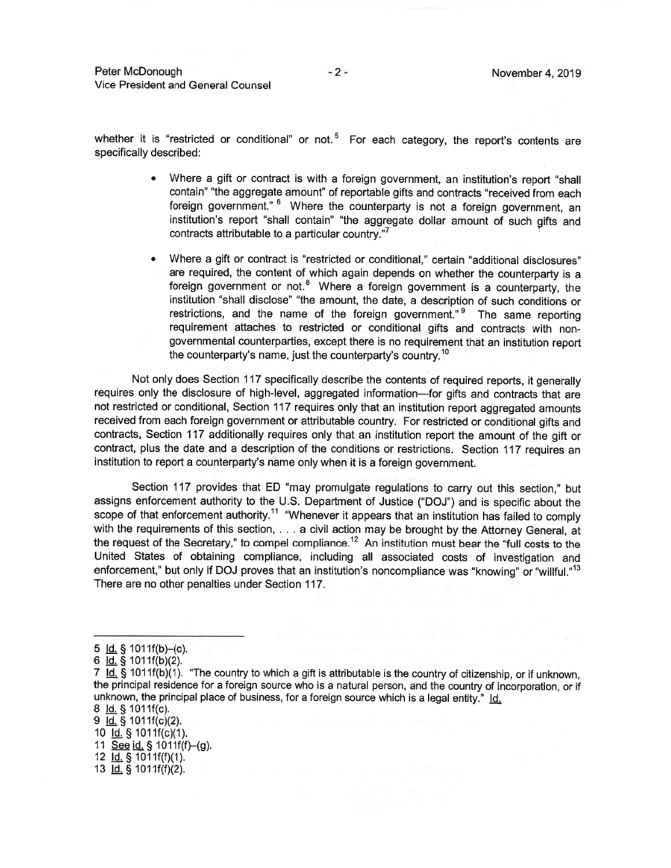Peter McDonough Vice President and General Counsel

whether it is "restricted or conditional" or not.<sup>5</sup> For each category, the report's contents are specifically described:

- Where a gift or contract is with a foreign government, an institution's report "shall contain" "the aggregate amount" of reportable gifts and contracts "received from each foreign government." <sup>6</sup> Where the counterparty is not a foreign government, an institution's report "shall contain" "the aggregate dollar amount of such gifts and contracts attributable to a particular country."
- Where a gift or contract is "restricted or conditional," certain "additional disclosures" are required, the content of which again depends on whether the counterparty is a foreign government or not.<sup>8</sup> Where a foreign government is a counterparty, the institution "shall disclose" "the amount, the date, a description of such conditions or restrictions, and the name of the foreign government."<sup>9</sup> The same reporting requirement attaches to restricted or conditional gifts and contracts with nongovernmental counterparties, except there is no requirement that an institution report the counterparty's name, just the counterparty's country.<sup>10</sup>

Not only does Section 117 specifically describe the contents of required reports, it generally requires only the disclosure of high-level, aggregated information-for gifts and contracts that are not restricted or conditional, Section 117 requires only that an institution report aggregated amounts received from each foreign government or attributable country. For restricted or conditional gifts and contracts, Section 117 additionally requires only that an institution report the amount of the gift or contract, plus the date and a description of the conditions or restrictions. Section 117 requires an institution to report a counterparty's name only when it is a foreign government.

Section 117 provides that ED "may promulgate regulations to carry out this section," but assigns enforcement authority to the U.S. Department of Justice ("DOJ") and is specific about the scope of that enforcement authority.<sup>11</sup> "Whenever it appears that an institution has failed to comply with the requirements of this section, . . . a civil action may be brought by the Attorney General, at the request of the Secretary," to compel compliance.<sup>12</sup> An institution must bear the "full costs to the United States of obtaining compliance, including all associated costs of investigation and enforcement," but only if DOJ proves that an institution's noncompliance was "knowing" or "willful."<sup>13</sup> There are no other penalties under Section 117.

9 ld. § 1011f(c)(2).

10 Id. § 1011f(c)(1).

11 See id. § 1011f(f)-(g).

<sup>5</sup>  $\underline{Id.}$  § 1011f(b)–(c).

<sup>6</sup>  $Id.$  § 1011 $f(b)(2)$ .

<sup>7</sup> Id. § 1011f(b)(1). "The country to which a gift is attributable is the country of citizenship, or if unknown, the principal residence for a foreign source who is a natural person, and the country of incorporation, or if unknown, the principal place of business, for a foreign source which is a legal entity." Id.

<sup>8 &</sup>lt;u>Id.</u> § 1011f(c).

<sup>12</sup>  $\underline{Id}$ , § 1011f(f)(1).

<sup>13 &</sup>lt;u>Id.</u> § 1011f(f)(2).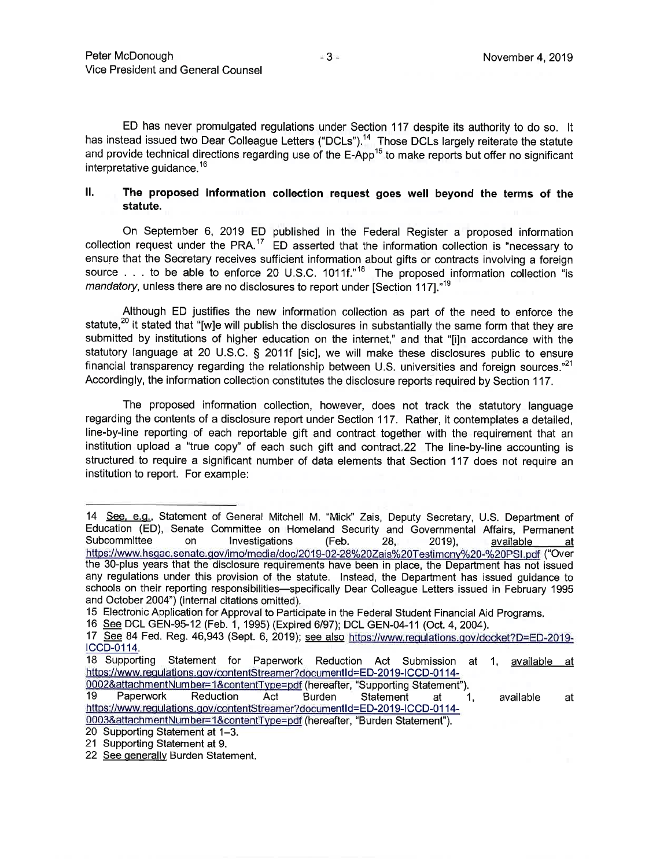ED has never promulgated regulations under Section 117 despite its authority to do so. It has instead issued two Dear Colleague Letters ("DCLs").<sup>14</sup> Those DCLs largely reiterate the statute and provide technical directions regarding use of the E-App<sup>15</sup> to make reports but offer no significant interpretative guidance.<sup>16</sup>

#### II. The proposed information collection request goes well beyond the terms of the statute.

On September 6, 2019 ED published in the Federal Register a proposed information collection request under the PRA.<sup>17</sup> ED asserted that the information collection is "necessary to ensure that the Secretary receives sufficient information about gifts or contracts involving a foreign source . . . to be able to enforce 20 U.S.C. 1011f."<sup>18</sup> The proposed information collection "is mandatory, unless there are no disclosures to report under [Section 117]."<sup>19</sup>

Although ED justifies the new information collection as part of the need to enforce the statute,<sup>20</sup> it stated that "[w]e will publish the disclosures in substantially the same form that they are submitted by institutions of higher education on the internet," and that "[i]n accordance with the statutory language at 20 U.S.C. § 2011f [sic], we will make these disclosures public to ensure financial transparency regarding the relationship between U.S. universities and foreign sources."<sup>21</sup> Accordingly, the information collection constitutes the disclosure reports required by Section 117.

The proposed information collection, however, does not track the statutory language regarding the contents of a disclosure report under Section 117. Rather, it contemplates a detailed. line-by-line reporting of each reportable gift and contract together with the requirement that an institution upload a "true copy" of each such gift and contract.22 The line-by-line accounting is structured to require a significant number of data elements that Section 117 does not require an institution to report. For example:

<sup>14</sup> See, e.g., Statement of General Mitchell M. "Mick" Zais, Deputy Secretary, U.S. Department of Education (ED), Senate Committee on Homeland Security and Governmental Affairs, Permanent Subcommittee on Investigations (Feb. 28. 2019). available <u>\_at</u> https://www.hsgac.senate.gov/imo/media/doc/2019-02-28%20Zais%20Testimony%20-%20PSI.pdf ("Over the 30-plus years that the disclosure requirements have been in place, the Department has not issued any regulations under this provision of the statute. Instead, the Department has issued guidance to schools on their reporting responsibilities—specifically Dear Colleague Letters issued in February 1995 and October 2004") (internal citations omitted).

<sup>15</sup> Electronic Application for Approval to Participate in the Federal Student Financial Aid Programs.

<sup>16</sup> See DCL GEN-95-12 (Feb. 1, 1995) (Expired 6/97); DCL GEN-04-11 (Oct. 4, 2004).

<sup>17</sup> See 84 Fed. Reg. 46,943 (Sept. 6, 2019); see also https://www.regulations.gov/docket?D=ED-2019-ICCD-0114.

<sup>18</sup> Supporting Statement for Paperwork Reduction Act Submission at 1, available at https://www.regulations.gov/contentStreamer?documentId=ED-2019-ICCD-0114-

<sup>0002&</sup>amp;attachmentNumber=1&contentType=pdf (hereafter, "Supporting Statement"). Paperwork 19 Reduction Act **Burden** Statement at 1. available at https://www.regulations.gov/contentStreamer?documentId=ED-2019-ICCD-0114-

<sup>0003&</sup>amp;attachmentNumber=1&contentType=pdf (hereafter, "Burden Statement").

<sup>20</sup> Supporting Statement at 1-3.

<sup>21</sup> Supporting Statement at 9.

<sup>22</sup> See generally Burden Statement.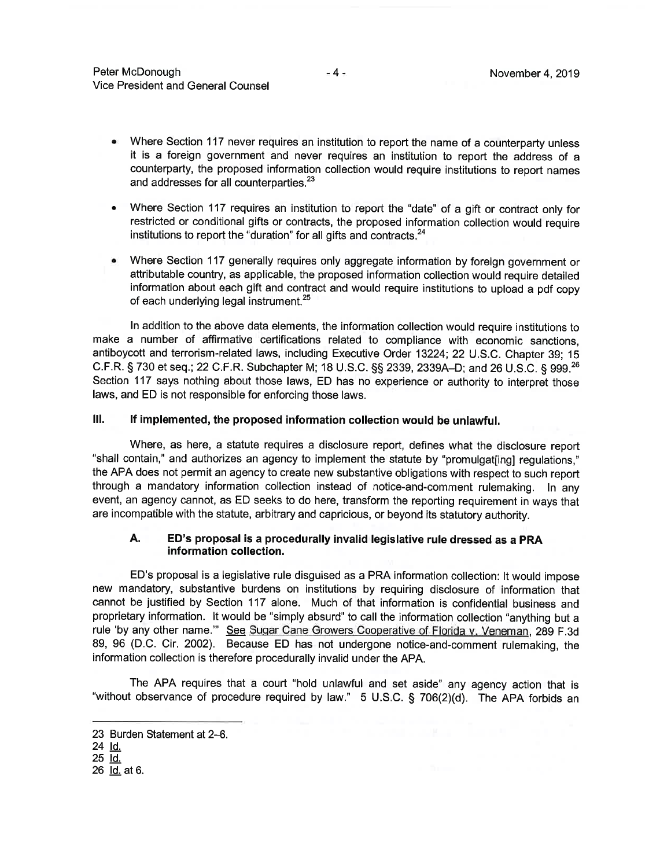- Where Section 117 never requires an institution to report the name of a counterparty unless ٠ it is a foreign government and never requires an institution to report the address of a counterparty, the proposed information collection would require institutions to report names and addresses for all counterparties.<sup>23</sup>
- Where Section 117 requires an institution to report the "date" of a gift or contract only for  $\bullet$ restricted or conditional gifts or contracts, the proposed information collection would require institutions to report the "duration" for all gifts and contracts.<sup>24</sup>
- Where Section 117 generally requires only aggregate information by foreign government or  $\bullet$ attributable country, as applicable, the proposed information collection would require detailed information about each gift and contract and would require institutions to upload a pdf copy of each underlying legal instrument.<sup>25</sup>

In addition to the above data elements, the information collection would require institutions to make a number of affirmative certifications related to compliance with economic sanctions. antibovcott and terrorism-related laws, including Executive Order 13224; 22 U.S.C. Chapter 39; 15 C.F.R. § 730 et seq.; 22 C.F.R. Subchapter M; 18 U.S.C. §§ 2339, 2339A-D; and 26 U.S.C. § 999.<sup>26</sup> Section 117 says nothing about those laws, ED has no experience or authority to interpret those laws, and ED is not responsible for enforcing those laws.

#### $III.$ If implemented, the proposed information collection would be unlawful.

Where, as here, a statute requires a disclosure report, defines what the disclosure report "shall contain," and authorizes an agency to implement the statute by "promulgat[ing] regulations." the APA does not permit an agency to create new substantive obligations with respect to such report through a mandatory information collection instead of notice-and-comment rulemaking. In any event, an agency cannot, as ED seeks to do here, transform the reporting requirement in ways that are incompatible with the statute, arbitrary and capricious, or beyond its statutory authority.

#### ED's proposal is a procedurally invalid legislative rule dressed as a PRA A. information collection.

ED's proposal is a legislative rule disguised as a PRA information collection: It would impose new mandatory, substantive burdens on institutions by requiring disclosure of information that cannot be justified by Section 117 alone. Much of that information is confidential business and proprietary information. It would be "simply absurd" to call the information collection "anything but a rule 'by any other name." See Sugar Cane Growers Cooperative of Florida v. Veneman, 289 F.3d 89, 96 (D.C. Cir. 2002). Because ED has not undergone notice-and-comment rulemaking, the information collection is therefore procedurally invalid under the APA.

The APA requires that a court "hold unlawful and set aside" any agency action that is "without observance of procedure required by law." 5 U.S.C. § 706(2)(d). The APA forbids an

<sup>23</sup> Burden Statement at 2-6.

<sup>24</sup> Id.

<sup>25</sup> Id.

<sup>26</sup> ld. at 6.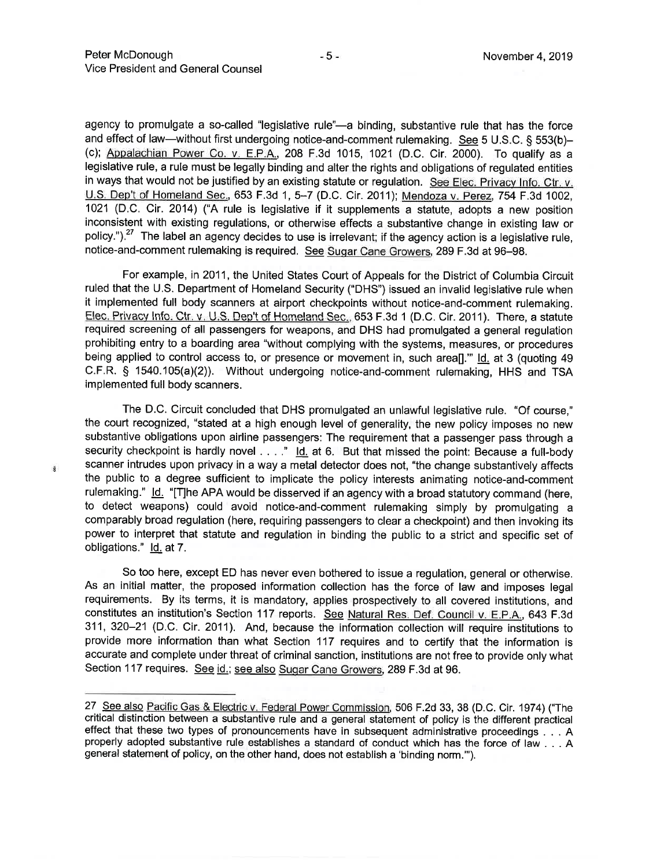agency to promulgate a so-called "legislative rule"—a binding, substantive rule that has the force and effect of law—without first undergoing notice-and-comment rulemaking. See 5 U.S.C. § 553(b)-(c); Appalachian Power Co. v. E.P.A., 208 F.3d 1015, 1021 (D.C. Cir. 2000). To qualify as a legislative rule, a rule must be legally binding and alter the rights and obligations of regulated entities in ways that would not be justified by an existing statute or regulation. See Elec. Privacy Info. Ctr. v. U.S. Dep't of Homeland Sec., 653 F.3d 1, 5-7 (D.C. Cir. 2011); Mendoza v. Perez, 754 F.3d 1002. 1021 (D.C. Cir. 2014) ("A rule is legislative if it supplements a statute, adopts a new position inconsistent with existing regulations, or otherwise effects a substantive change in existing law or policy."). $27$  The label an agency decides to use is irrelevant; if the agency action is a legislative rule, notice-and-comment rulemaking is required. See Sugar Cane Growers, 289 F.3d at 96-98.

For example, in 2011, the United States Court of Appeals for the District of Columbia Circuit ruled that the U.S. Department of Homeland Security ("DHS") issued an invalid legislative rule when it implemented full body scanners at airport checkpoints without notice-and-comment rulemaking. Elec. Privacy Info. Ctr. v. U.S. Dep't of Homeland Sec., 653 F.3d 1 (D.C. Cir. 2011). There, a statute required screening of all passengers for weapons, and DHS had promulgated a general regulation prohibiting entry to a boarding area "without complying with the systems, measures, or procedures being applied to control access to, or presence or movement in, such area[]." Id. at 3 (quoting 49 C.F.R. § 1540.105(a)(2)). Without undergoing notice-and-comment rulemaking, HHS and TSA implemented full body scanners.

The D.C. Circuit concluded that DHS promulgated an unlawful legislative rule. "Of course," the court recognized, "stated at a high enough level of generality, the new policy imposes no new substantive obligations upon airline passengers: The requirement that a passenger pass through a security checkpoint is hardly novel . . . " Id. at 6. But that missed the point: Because a full-body scanner intrudes upon privacy in a way a metal detector does not, "the change substantively affects the public to a degree sufficient to implicate the policy interests animating notice-and-comment rulemaking." Id. "[T]he APA would be disserved if an agency with a broad statutory command (here, to detect weapons) could avoid notice-and-comment rulemaking simply by promulgating a comparably broad regulation (here, requiring passengers to clear a checkpoint) and then invoking its power to interpret that statute and regulation in binding the public to a strict and specific set of obligations." Id. at 7.

So too here, except ED has never even bothered to issue a regulation, general or otherwise. As an initial matter, the proposed information collection has the force of law and imposes legal requirements. By its terms, it is mandatory, applies prospectively to all covered institutions, and constitutes an institution's Section 117 reports. See Natural Res. Def. Council v. E.P.A., 643 F.3d 311, 320-21 (D.C. Cir. 2011). And, because the information collection will require institutions to provide more information than what Section 117 requires and to certify that the information is accurate and complete under threat of criminal sanction, institutions are not free to provide only what Section 117 requires. See id.; see also Sugar Cane Growers, 289 F.3d at 96.

š

<sup>27</sup> See also Pacific Gas & Electric v. Federal Power Commission, 506 F.2d 33, 38 (D.C. Cir. 1974) ("The critical distinction between a substantive rule and a general statement of policy is the different practical effect that these two types of pronouncements have in subsequent administrative proceedings . . . A properly adopted substantive rule establishes a standard of conduct which has the force of law . . . A general statement of policy, on the other hand, does not establish a 'binding norm."").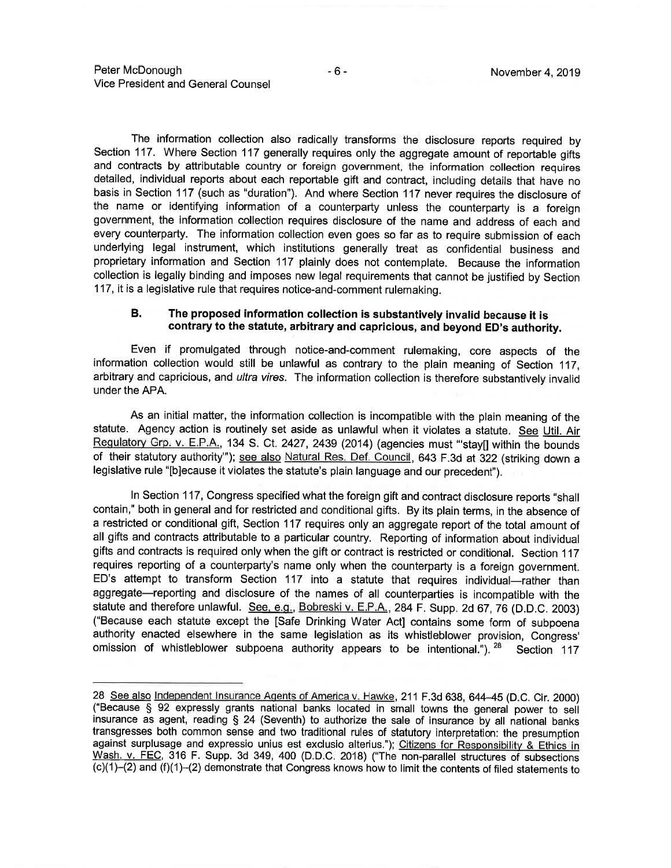The information collection also radically transforms the disclosure reports required by Section 117. Where Section 117 generally requires only the aggregate amount of reportable gifts and contracts by attributable country or foreign government, the information collection requires detailed, individual reports about each reportable gift and contract, including details that have no basis in Section 117 (such as "duration"). And where Section 117 never requires the disclosure of the name or identifying information of a counterparty unless the counterparty is a foreign government, the information collection requires disclosure of the name and address of each and every counterparty. The information collection even goes so far as to require submission of each underlying legal instrument, which institutions generally treat as confidential business and proprietary information and Section 117 plainly does not contemplate. Because the information collection is legally binding and imposes new legal requirements that cannot be justified by Section 117, it is a legislative rule that requires notice-and-comment rulemaking.

#### **B.** The proposed information collection is substantively invalid because it is contrary to the statute, arbitrary and capricious, and beyond ED's authority.

Even if promulgated through notice-and-comment rulemaking, core aspects of the information collection would still be unlawful as contrary to the plain meaning of Section 117, arbitrary and capricious, and ultra vires. The information collection is therefore substantively invalid under the APA.

As an initial matter, the information collection is incompatible with the plain meaning of the statute. Agency action is routinely set aside as unlawful when it violates a statute. See Util. Air Requlatory Grp. v. E.P.A., 134 S. Ct. 2427, 2439 (2014) (agencies must "stay[] within the bounds of their statutory authority"); see also Natural Res. Def. Council, 643 F.3d at 322 (striking down a legislative rule "[b]ecause it violates the statute's plain language and our precedent").

In Section 117, Congress specified what the foreign gift and contract disclosure reports "shall contain," both in general and for restricted and conditional gifts. By its plain terms, in the absence of a restricted or conditional gift, Section 117 requires only an aggregate report of the total amount of all gifts and contracts attributable to a particular country. Reporting of information about individual gifts and contracts is required only when the gift or contract is restricted or conditional. Section 117 requires reporting of a counterparty's name only when the counterparty is a foreign government. ED's attempt to transform Section 117 into a statute that requires individual—rather than aggregate-reporting and disclosure of the names of all counterparties is incompatible with the statute and therefore unlawful. See, e.g., Bobreski v. E.P.A., 284 F. Supp. 2d 67, 76 (D.D.C. 2003) ("Because each statute except the [Safe Drinking Water Act] contains some form of subpoena authority enacted elsewhere in the same legislation as its whistleblower provision, Congress' omission of whistleblower subpoena authority appears to be intentional."). <sup>28</sup> Section 117

<sup>28</sup> See also Independent Insurance Agents of America v. Hawke, 211 F.3d 638, 644-45 (D.C. Cir. 2000) ("Because § 92 expressly grants national banks located in small towns the general power to sell insurance as agent, reading § 24 (Seventh) to authorize the sale of insurance by all national banks transgresses both common sense and two traditional rules of statutory interpretation: the presumption against surplusage and expressio unius est exclusio alterius."); Citizens for Responsibility & Ethics in Wash. v. FEC, 316 F. Supp. 3d 349, 400 (D.D.C. 2018) ("The non-parallel structures of subsections (c)(1)-(2) and (f)(1)-(2) demonstrate that Congress knows how to limit the contents of filed statements to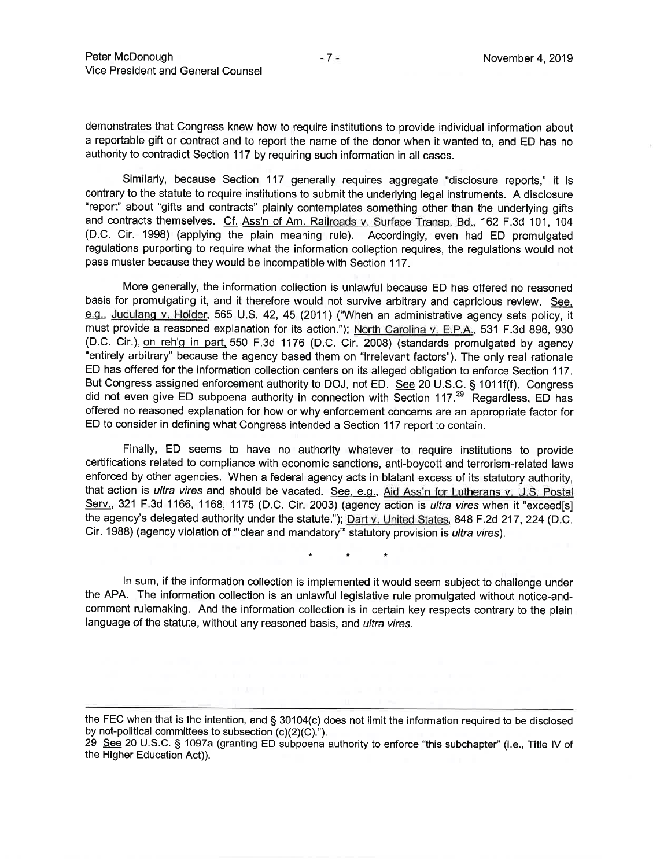demonstrates that Congress knew how to require institutions to provide individual information about a reportable gift or contract and to report the name of the donor when it wanted to, and ED has no authority to contradict Section 117 by requiring such information in all cases.

Similarly, because Section 117 generally requires aggregate "disclosure reports," it is contrary to the statute to require institutions to submit the underlying legal instruments. A disclosure "report" about "gifts and contracts" plainly contemplates something other than the underlying gifts and contracts themselves. Cf. Ass'n of Am. Railroads v. Surface Transp. Bd., 162 F.3d 101, 104 (D.C. Cir. 1998) (applying the plain meaning rule). Accordingly, even had ED promulgated regulations purporting to require what the information collection requires, the regulations would not pass muster because they would be incompatible with Section 117.

More generally, the information collection is unlawful because ED has offered no reasoned basis for promulgating it, and it therefore would not survive arbitrary and capricious review. See, e.g., Judulang v. Holder, 565 U.S. 42, 45 (2011) ("When an administrative agency sets policy, it must provide a reasoned explanation for its action."); North Carolina v. E.P.A., 531 F.3d 896, 930 (D.C. Cir.), on reh'g in part, 550 F.3d 1176 (D.C. Cir. 2008) (standards promulgated by agency "entirely arbitrary" because the agency based them on "irrelevant factors"). The only real rationale ED has offered for the information collection centers on its alleged obligation to enforce Section 117. But Congress assigned enforcement authority to DOJ, not ED. See 20 U.S.C. § 1011f(f). Congress did not even give ED subpoena authority in connection with Section 117.<sup>29</sup> Regardless, ED has offered no reasoned explanation for how or why enforcement concerns are an appropriate factor for ED to consider in defining what Congress intended a Section 117 report to contain.

Finally, ED seems to have no authority whatever to require institutions to provide certifications related to compliance with economic sanctions, anti-boycott and terrorism-related laws enforced by other agencies. When a federal agency acts in blatant excess of its statutory authority, that action is *ultra vires* and should be vacated. See, e.g., Aid Ass'n for Lutherans v. U.S. Postal Serv., 321 F.3d 1166, 1168, 1175 (D.C. Cir. 2003) (agency action is *ultra vires* when it "exceed[s] the agency's delegated authority under the statute."); Dart v. United States, 848 F.2d 217, 224 (D.C. Cir. 1988) (agency violation of "clear and mandatory" statutory provision is *ultra vires*).

 $\star$ 

In sum, if the information collection is implemented it would seem subject to challenge under the APA. The information collection is an unlawful legislative rule promulgated without notice-andcomment rulemaking. And the information collection is in certain key respects contrary to the plain language of the statute, without any reasoned basis, and ultra vires.

the FEC when that is the intention, and § 30104(c) does not limit the information required to be disclosed by not-political committees to subsection (c)(2)(C).").

<sup>29</sup> See 20 U.S.C. § 1097a (granting ED subpoena authority to enforce "this subchapter" (i.e., Title IV of the Higher Education Act)).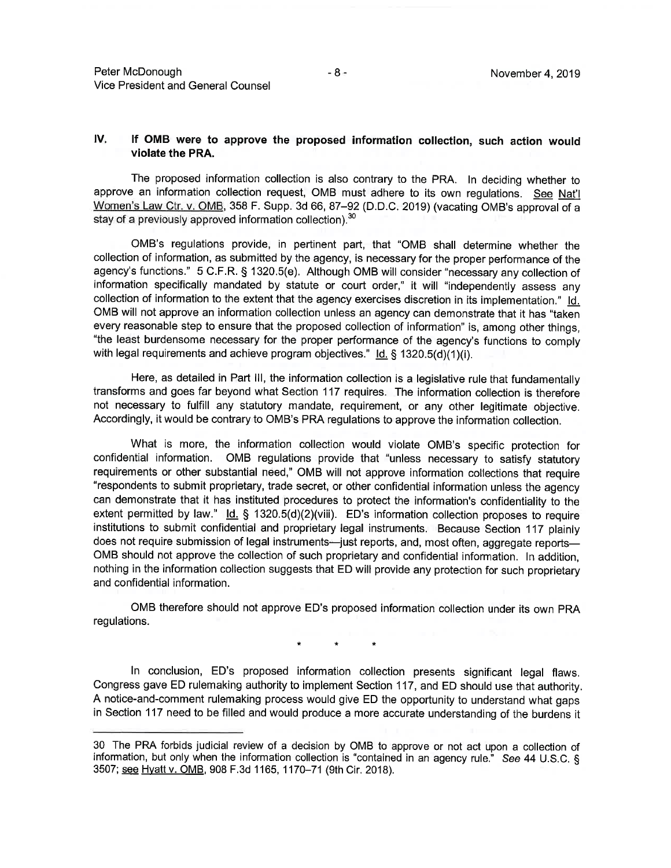#### IV. If OMB were to approve the proposed information collection, such action would violate the PRA.

The proposed information collection is also contrary to the PRA. In deciding whether to approve an information collection request, OMB must adhere to its own regulations. See Nat'l Women's Law Ctr. v. OMB, 358 F. Supp. 3d 66, 87-92 (D.D.C. 2019) (vacating OMB's approval of a stay of a previously approved information collection).<sup>30</sup>

OMB's regulations provide, in pertinent part, that "OMB shall determine whether the collection of information, as submitted by the agency, is necessary for the proper performance of the agency's functions." 5 C.F.R. § 1320.5(e). Although OMB will consider "necessary any collection of information specifically mandated by statute or court order," it will "independently assess any collection of information to the extent that the agency exercises discretion in its implementation." Id. OMB will not approve an information collection unless an agency can demonstrate that it has "taken every reasonable step to ensure that the proposed collection of information" is, among other things. "the least burdensome necessary for the proper performance of the agency's functions to comply with legal requirements and achieve program objectives." Id. § 1320.5(d)(1)(i).

Here, as detailed in Part III, the information collection is a legislative rule that fundamentally transforms and goes far beyond what Section 117 requires. The information collection is therefore not necessary to fulfill any statutory mandate, requirement, or any other legitimate objective. Accordingly, it would be contrary to OMB's PRA regulations to approve the information collection.

What is more, the information collection would violate OMB's specific protection for confidential information. OMB regulations provide that "unless necessary to satisfy statutory requirements or other substantial need," OMB will not approve information collections that require "respondents to submit proprietary, trade secret, or other confidential information unless the agency can demonstrate that it has instituted procedures to protect the information's confidentiality to the extent permitted by law."  $\underline{Id.}$  § 1320.5(d)(2)(viii). ED's information collection proposes to require institutions to submit confidential and proprietary legal instruments. Because Section 117 plainly does not require submission of legal instruments—just reports, and, most often, aggregate reports— OMB should not approve the collection of such proprietary and confidential information. In addition, nothing in the information collection suggests that ED will provide any protection for such proprietary and confidential information.

OMB therefore should not approve ED's proposed information collection under its own PRA regulations.

In conclusion, ED's proposed information collection presents significant legal flaws. Congress gave ED rulemaking authority to implement Section 117, and ED should use that authority. A notice-and-comment rulemaking process would give ED the opportunity to understand what gaps in Section 117 need to be filled and would produce a more accurate understanding of the burdens it

<sup>30</sup> The PRA forbids judicial review of a decision by OMB to approve or not act upon a collection of information, but only when the information collection is "contained in an agency rule." See 44 U.S.C. § 3507; see Hyatt v. OMB, 908 F.3d 1165, 1170-71 (9th Cir. 2018).